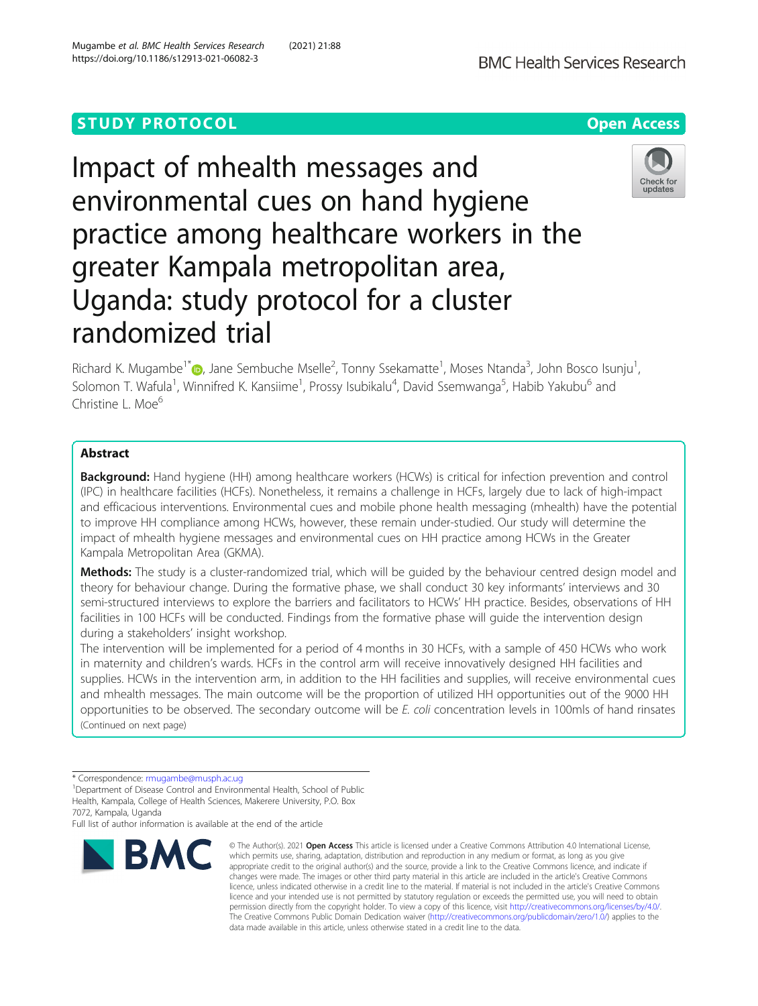# **STUDY PROTOCOL CONSUMING THE RESERVE ACCESS**



Impact of mhealth messages and environmental cues on hand hygiene practice among healthcare workers in the greater Kampala metropolitan area, Uganda: study protocol for a cluster randomized trial



Richard K. Mugambe<sup>1\*</sup> D, Jane Sembuche Mselle<sup>2</sup>, Tonny Ssekamatte<sup>1</sup>, Moses Ntanda<sup>3</sup>, John Bosco Isunju<sup>1</sup> , Solomon T. Wafula<sup>1</sup>, Winnifred K. Kansiime<sup>1</sup>, Prossy Isubikalu<sup>4</sup>, David Ssemwanga<sup>5</sup>, Habib Yakubu<sup>6</sup> and Christine L. Moe<sup>6</sup>

## Abstract

Background: Hand hygiene (HH) among healthcare workers (HCWs) is critical for infection prevention and control (IPC) in healthcare facilities (HCFs). Nonetheless, it remains a challenge in HCFs, largely due to lack of high-impact and efficacious interventions. Environmental cues and mobile phone health messaging (mhealth) have the potential to improve HH compliance among HCWs, however, these remain under-studied. Our study will determine the impact of mhealth hygiene messages and environmental cues on HH practice among HCWs in the Greater Kampala Metropolitan Area (GKMA).

Methods: The study is a cluster-randomized trial, which will be quided by the behaviour centred design model and theory for behaviour change. During the formative phase, we shall conduct 30 key informants' interviews and 30 semi-structured interviews to explore the barriers and facilitators to HCWs' HH practice. Besides, observations of HH facilities in 100 HCFs will be conducted. Findings from the formative phase will guide the intervention design during a stakeholders' insight workshop.

The intervention will be implemented for a period of 4 months in 30 HCFs, with a sample of 450 HCWs who work in maternity and children's wards. HCFs in the control arm will receive innovatively designed HH facilities and supplies. HCWs in the intervention arm, in addition to the HH facilities and supplies, will receive environmental cues and mhealth messages. The main outcome will be the proportion of utilized HH opportunities out of the 9000 HH opportunities to be observed. The secondary outcome will be E. coli concentration levels in 100mls of hand rinsates (Continued on next page)

Full list of author information is available at the end of the article



<sup>©</sup> The Author(s), 2021 **Open Access** This article is licensed under a Creative Commons Attribution 4.0 International License, which permits use, sharing, adaptation, distribution and reproduction in any medium or format, as long as you give appropriate credit to the original author(s) and the source, provide a link to the Creative Commons licence, and indicate if changes were made. The images or other third party material in this article are included in the article's Creative Commons licence, unless indicated otherwise in a credit line to the material. If material is not included in the article's Creative Commons licence and your intended use is not permitted by statutory regulation or exceeds the permitted use, you will need to obtain permission directly from the copyright holder. To view a copy of this licence, visit [http://creativecommons.org/licenses/by/4.0/.](http://creativecommons.org/licenses/by/4.0/) The Creative Commons Public Domain Dedication waiver [\(http://creativecommons.org/publicdomain/zero/1.0/](http://creativecommons.org/publicdomain/zero/1.0/)) applies to the data made available in this article, unless otherwise stated in a credit line to the data.

<sup>\*</sup> Correspondence: [rmugambe@musph.ac.ug](mailto:rmugambe@musph.ac.ug) <sup>1</sup>

<sup>&</sup>lt;sup>1</sup>Department of Disease Control and Environmental Health, School of Public Health, Kampala, College of Health Sciences, Makerere University, P.O. Box 7072, Kampala, Uganda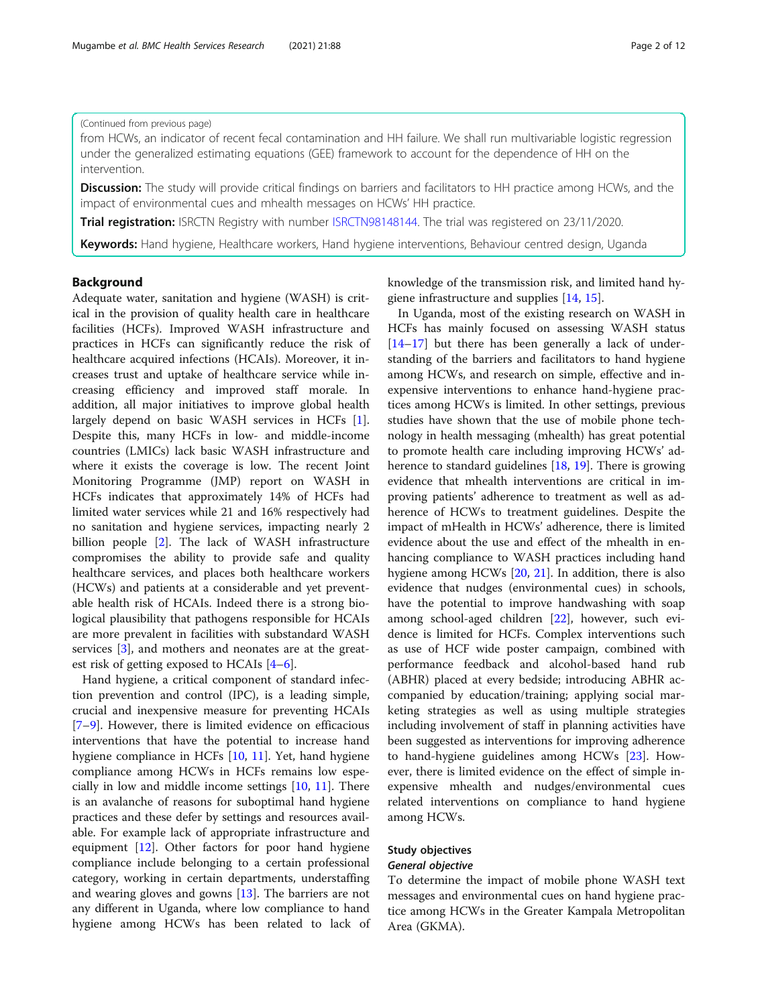### (Continued from previous page)

from HCWs, an indicator of recent fecal contamination and HH failure. We shall run multivariable logistic regression under the generalized estimating equations (GEE) framework to account for the dependence of HH on the intervention.

Discussion: The study will provide critical findings on barriers and facilitators to HH practice among HCWs, and the impact of environmental cues and mhealth messages on HCWs' HH practice.

Trial registration: ISRCTN Registry with number [ISRCTN98148144](http://www.isrctn.com/ISRCTN98148144). The trial was registered on 23/11/2020.

Keywords: Hand hygiene, Healthcare workers, Hand hygiene interventions, Behaviour centred design, Uganda

## Background

Adequate water, sanitation and hygiene (WASH) is critical in the provision of quality health care in healthcare facilities (HCFs). Improved WASH infrastructure and practices in HCFs can significantly reduce the risk of healthcare acquired infections (HCAIs). Moreover, it increases trust and uptake of healthcare service while increasing efficiency and improved staff morale. In addition, all major initiatives to improve global health largely depend on basic WASH services in HCFs [\[1](#page-10-0)]. Despite this, many HCFs in low- and middle-income countries (LMICs) lack basic WASH infrastructure and where it exists the coverage is low. The recent Joint Monitoring Programme (JMP) report on WASH in HCFs indicates that approximately 14% of HCFs had limited water services while 21 and 16% respectively had no sanitation and hygiene services, impacting nearly 2 billion people [[2](#page-10-0)]. The lack of WASH infrastructure compromises the ability to provide safe and quality healthcare services, and places both healthcare workers (HCWs) and patients at a considerable and yet preventable health risk of HCAIs. Indeed there is a strong biological plausibility that pathogens responsible for HCAIs are more prevalent in facilities with substandard WASH services [[3\]](#page-10-0), and mothers and neonates are at the greatest risk of getting exposed to HCAIs [\[4](#page-10-0)–[6](#page-10-0)].

Hand hygiene, a critical component of standard infection prevention and control (IPC), is a leading simple, crucial and inexpensive measure for preventing HCAIs [[7](#page-10-0)–[9\]](#page-10-0). However, there is limited evidence on efficacious interventions that have the potential to increase hand hygiene compliance in HCFs [\[10](#page-10-0), [11\]](#page-10-0). Yet, hand hygiene compliance among HCWs in HCFs remains low especially in low and middle income settings [\[10,](#page-10-0) [11](#page-10-0)]. There is an avalanche of reasons for suboptimal hand hygiene practices and these defer by settings and resources available. For example lack of appropriate infrastructure and equipment [\[12\]](#page-10-0). Other factors for poor hand hygiene compliance include belonging to a certain professional category, working in certain departments, understaffing and wearing gloves and gowns [[13\]](#page-10-0). The barriers are not any different in Uganda, where low compliance to hand hygiene among HCWs has been related to lack of knowledge of the transmission risk, and limited hand hygiene infrastructure and supplies [[14,](#page-10-0) [15\]](#page-10-0).

In Uganda, most of the existing research on WASH in HCFs has mainly focused on assessing WASH status [[14](#page-10-0)–[17](#page-10-0)] but there has been generally a lack of understanding of the barriers and facilitators to hand hygiene among HCWs, and research on simple, effective and inexpensive interventions to enhance hand-hygiene practices among HCWs is limited. In other settings, previous studies have shown that the use of mobile phone technology in health messaging (mhealth) has great potential to promote health care including improving HCWs' adherence to standard guidelines [\[18,](#page-10-0) [19\]](#page-10-0). There is growing evidence that mhealth interventions are critical in improving patients' adherence to treatment as well as adherence of HCWs to treatment guidelines. Despite the impact of mHealth in HCWs' adherence, there is limited evidence about the use and effect of the mhealth in enhancing compliance to WASH practices including hand hygiene among HCWs [[20](#page-10-0), [21\]](#page-10-0). In addition, there is also evidence that nudges (environmental cues) in schools, have the potential to improve handwashing with soap among school-aged children [[22](#page-10-0)], however, such evidence is limited for HCFs. Complex interventions such as use of HCF wide poster campaign, combined with performance feedback and alcohol-based hand rub (ABHR) placed at every bedside; introducing ABHR accompanied by education/training; applying social marketing strategies as well as using multiple strategies including involvement of staff in planning activities have been suggested as interventions for improving adherence to hand-hygiene guidelines among HCWs [[23\]](#page-10-0). However, there is limited evidence on the effect of simple inexpensive mhealth and nudges/environmental cues related interventions on compliance to hand hygiene among HCWs.

## Study objectives

## General objective

To determine the impact of mobile phone WASH text messages and environmental cues on hand hygiene practice among HCWs in the Greater Kampala Metropolitan Area (GKMA).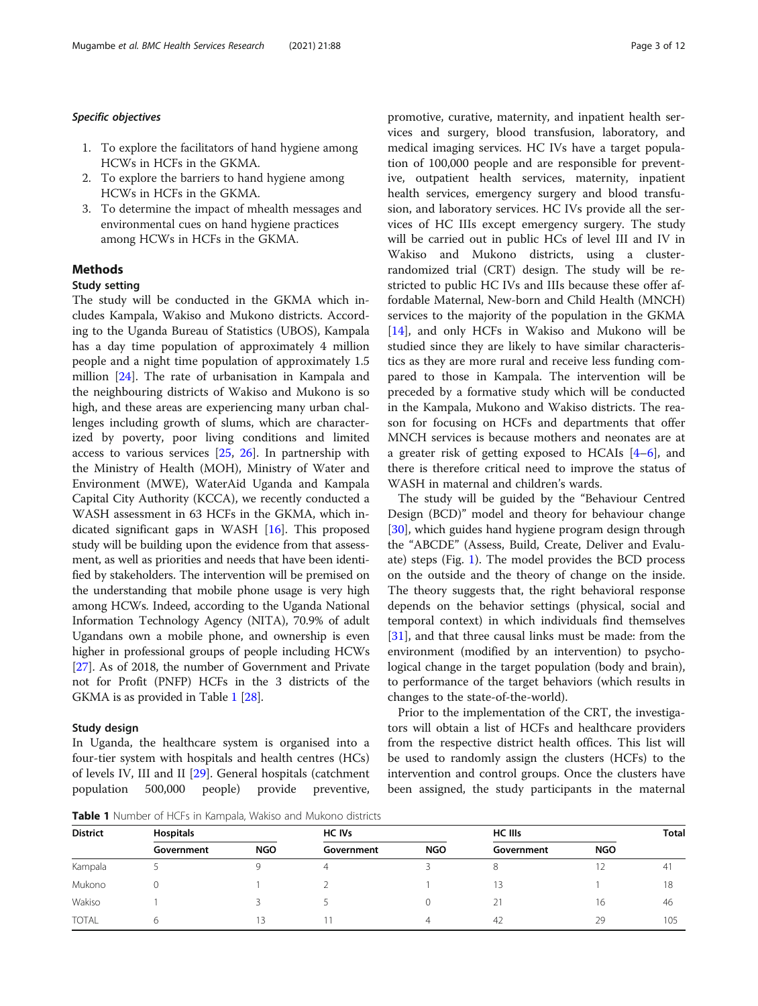#### Specific objectives

- 1. To explore the facilitators of hand hygiene among HCWs in HCFs in the GKMA.
- 2. To explore the barriers to hand hygiene among HCWs in HCFs in the GKMA.
- 3. To determine the impact of mhealth messages and environmental cues on hand hygiene practices among HCWs in HCFs in the GKMA.

## Methods

## Study setting

The study will be conducted in the GKMA which includes Kampala, Wakiso and Mukono districts. According to the Uganda Bureau of Statistics (UBOS), Kampala has a day time population of approximately 4 million people and a night time population of approximately 1.5 million [\[24](#page-10-0)]. The rate of urbanisation in Kampala and the neighbouring districts of Wakiso and Mukono is so high, and these areas are experiencing many urban challenges including growth of slums, which are characterized by poverty, poor living conditions and limited access to various services [\[25,](#page-10-0) [26](#page-11-0)]. In partnership with the Ministry of Health (MOH), Ministry of Water and Environment (MWE), WaterAid Uganda and Kampala Capital City Authority (KCCA), we recently conducted a WASH assessment in 63 HCFs in the GKMA, which indicated significant gaps in WASH [[16\]](#page-10-0). This proposed study will be building upon the evidence from that assessment, as well as priorities and needs that have been identified by stakeholders. The intervention will be premised on the understanding that mobile phone usage is very high among HCWs. Indeed, according to the Uganda National Information Technology Agency (NITA), 70.9% of adult Ugandans own a mobile phone, and ownership is even higher in professional groups of people including HCWs [[27](#page-11-0)]. As of 2018, the number of Government and Private not for Profit (PNFP) HCFs in the 3 districts of the GKMA is as provided in Table 1 [\[28\]](#page-11-0).

#### Study design

In Uganda, the healthcare system is organised into a four-tier system with hospitals and health centres (HCs) of levels IV, III and II [\[29\]](#page-11-0). General hospitals (catchment population 500,000 people) provide preventive,

Table 1 Number of HCFs in Kampala, Wakiso and Mukono districts

promotive, curative, maternity, and inpatient health services and surgery, blood transfusion, laboratory, and medical imaging services. HC IVs have a target population of 100,000 people and are responsible for preventive, outpatient health services, maternity, inpatient health services, emergency surgery and blood transfusion, and laboratory services. HC IVs provide all the services of HC IIIs except emergency surgery. The study will be carried out in public HCs of level III and IV in Wakiso and Mukono districts, using a clusterrandomized trial (CRT) design. The study will be restricted to public HC IVs and IIIs because these offer affordable Maternal, New-born and Child Health (MNCH) services to the majority of the population in the GKMA [[14\]](#page-10-0), and only HCFs in Wakiso and Mukono will be studied since they are likely to have similar characteristics as they are more rural and receive less funding compared to those in Kampala. The intervention will be preceded by a formative study which will be conducted in the Kampala, Mukono and Wakiso districts. The reason for focusing on HCFs and departments that offer MNCH services is because mothers and neonates are at a greater risk of getting exposed to HCAIs [[4](#page-10-0)–[6\]](#page-10-0), and there is therefore critical need to improve the status of WASH in maternal and children's wards.

The study will be guided by the "Behaviour Centred Design (BCD)" model and theory for behaviour change [[30\]](#page-11-0), which guides hand hygiene program design through the "ABCDE" (Assess, Build, Create, Deliver and Evaluate) steps (Fig. [1](#page-3-0)). The model provides the BCD process on the outside and the theory of change on the inside. The theory suggests that, the right behavioral response depends on the behavior settings (physical, social and temporal context) in which individuals find themselves [[31\]](#page-11-0), and that three causal links must be made: from the environment (modified by an intervention) to psychological change in the target population (body and brain), to performance of the target behaviors (which results in changes to the state-of-the-world).

Prior to the implementation of the CRT, the investigators will obtain a list of HCFs and healthcare providers from the respective district health offices. This list will be used to randomly assign the clusters (HCFs) to the intervention and control groups. Once the clusters have been assigned, the study participants in the maternal

| <b>District</b> | <b>Hospitals</b> |            | <b>HC IVs</b>  |            | <b>HC IIIs</b> |            | <b>Total</b> |
|-----------------|------------------|------------|----------------|------------|----------------|------------|--------------|
|                 | Government       | <b>NGO</b> | Government     | <b>NGO</b> | Government     | <b>NGO</b> |              |
| Kampala         |                  |            | $\overline{4}$ |            |                |            | 4            |
| Mukono          |                  |            |                |            | 13             |            | 18           |
| Wakiso          |                  |            |                |            | 21             | 16         | 46           |
| <b>TOTAL</b>    | 6                | 13         |                |            | 42             | 29         | 105          |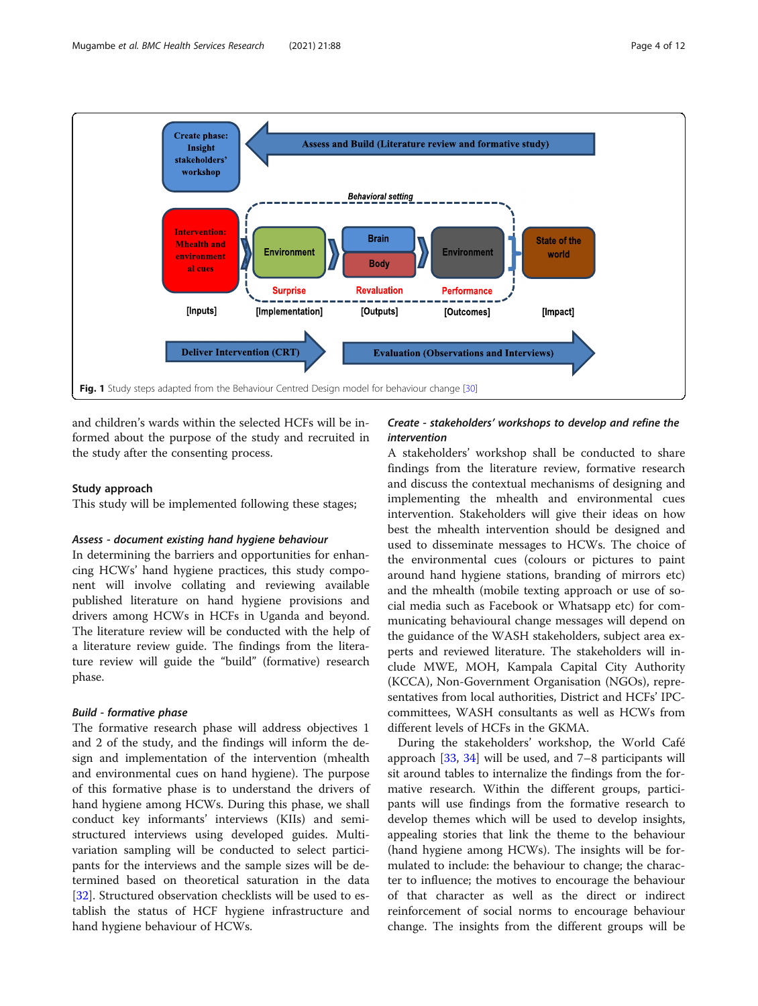<span id="page-3-0"></span>

and children's wards within the selected HCFs will be informed about the purpose of the study and recruited in the study after the consenting process.

#### Study approach

This study will be implemented following these stages;

## Assess - document existing hand hygiene behaviour

In determining the barriers and opportunities for enhancing HCWs' hand hygiene practices, this study component will involve collating and reviewing available published literature on hand hygiene provisions and drivers among HCWs in HCFs in Uganda and beyond. The literature review will be conducted with the help of a literature review guide. The findings from the literature review will guide the "build" (formative) research phase.

## Build - formative phase

The formative research phase will address objectives 1 and 2 of the study, and the findings will inform the design and implementation of the intervention (mhealth and environmental cues on hand hygiene). The purpose of this formative phase is to understand the drivers of hand hygiene among HCWs. During this phase, we shall conduct key informants' interviews (KIIs) and semistructured interviews using developed guides. Multivariation sampling will be conducted to select participants for the interviews and the sample sizes will be determined based on theoretical saturation in the data [[32\]](#page-11-0). Structured observation checklists will be used to establish the status of HCF hygiene infrastructure and hand hygiene behaviour of HCWs.

## Create - stakeholders' workshops to develop and refine the intervention

A stakeholders' workshop shall be conducted to share findings from the literature review, formative research and discuss the contextual mechanisms of designing and implementing the mhealth and environmental cues intervention. Stakeholders will give their ideas on how best the mhealth intervention should be designed and used to disseminate messages to HCWs. The choice of the environmental cues (colours or pictures to paint around hand hygiene stations, branding of mirrors etc) and the mhealth (mobile texting approach or use of social media such as Facebook or Whatsapp etc) for communicating behavioural change messages will depend on the guidance of the WASH stakeholders, subject area experts and reviewed literature. The stakeholders will include MWE, MOH, Kampala Capital City Authority (KCCA), Non-Government Organisation (NGOs), representatives from local authorities, District and HCFs' IPCcommittees, WASH consultants as well as HCWs from different levels of HCFs in the GKMA.

During the stakeholders' workshop, the World Café approach [[33,](#page-11-0) [34](#page-11-0)] will be used, and 7–8 participants will sit around tables to internalize the findings from the formative research. Within the different groups, participants will use findings from the formative research to develop themes which will be used to develop insights, appealing stories that link the theme to the behaviour (hand hygiene among HCWs). The insights will be formulated to include: the behaviour to change; the character to influence; the motives to encourage the behaviour of that character as well as the direct or indirect reinforcement of social norms to encourage behaviour change. The insights from the different groups will be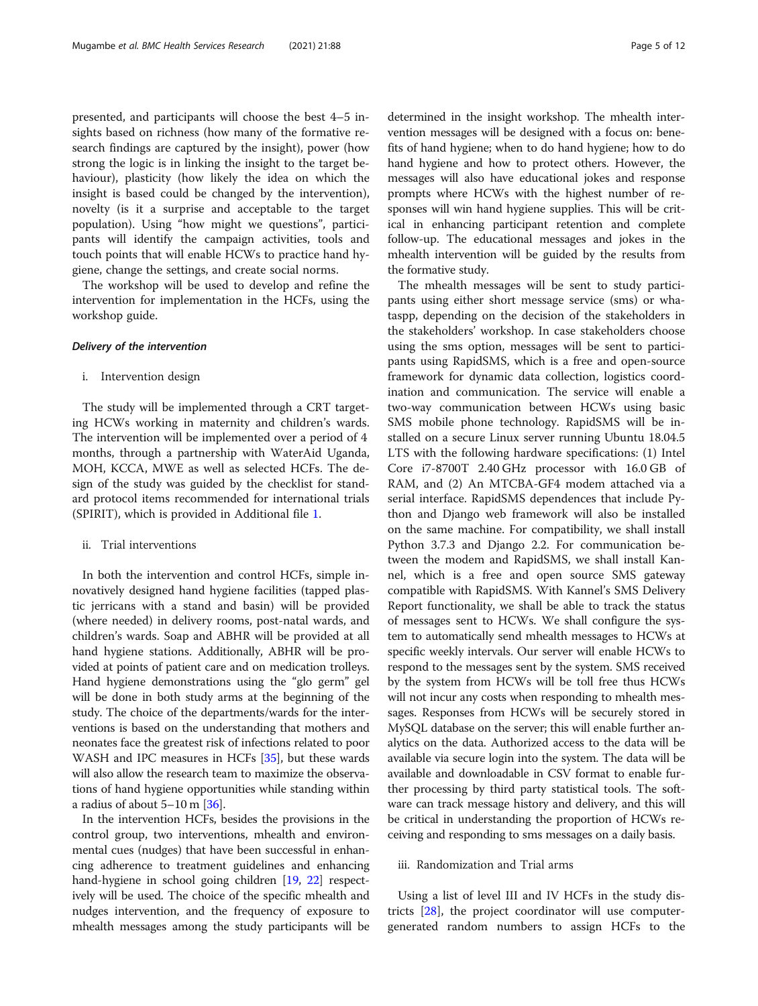presented, and participants will choose the best 4–5 insights based on richness (how many of the formative research findings are captured by the insight), power (how strong the logic is in linking the insight to the target behaviour), plasticity (how likely the idea on which the insight is based could be changed by the intervention), novelty (is it a surprise and acceptable to the target population). Using "how might we questions", participants will identify the campaign activities, tools and touch points that will enable HCWs to practice hand hygiene, change the settings, and create social norms.

The workshop will be used to develop and refine the intervention for implementation in the HCFs, using the workshop guide.

## Delivery of the intervention

#### i. Intervention design

The study will be implemented through a CRT targeting HCWs working in maternity and children's wards. The intervention will be implemented over a period of 4 months, through a partnership with WaterAid Uganda, MOH, KCCA, MWE as well as selected HCFs. The design of the study was guided by the checklist for standard protocol items recommended for international trials (SPIRIT), which is provided in Additional file [1.](#page-9-0)

#### ii. Trial interventions

In both the intervention and control HCFs, simple innovatively designed hand hygiene facilities (tapped plastic jerricans with a stand and basin) will be provided (where needed) in delivery rooms, post-natal wards, and children's wards. Soap and ABHR will be provided at all hand hygiene stations. Additionally, ABHR will be provided at points of patient care and on medication trolleys. Hand hygiene demonstrations using the "glo germ" gel will be done in both study arms at the beginning of the study. The choice of the departments/wards for the interventions is based on the understanding that mothers and neonates face the greatest risk of infections related to poor WASH and IPC measures in HCFs [[35](#page-11-0)], but these wards will also allow the research team to maximize the observations of hand hygiene opportunities while standing within a radius of about 5–10 m [\[36](#page-11-0)].

In the intervention HCFs, besides the provisions in the control group, two interventions, mhealth and environmental cues (nudges) that have been successful in enhancing adherence to treatment guidelines and enhancing hand-hygiene in school going children [\[19,](#page-10-0) [22\]](#page-10-0) respectively will be used. The choice of the specific mhealth and nudges intervention, and the frequency of exposure to mhealth messages among the study participants will be determined in the insight workshop. The mhealth intervention messages will be designed with a focus on: benefits of hand hygiene; when to do hand hygiene; how to do hand hygiene and how to protect others. However, the messages will also have educational jokes and response prompts where HCWs with the highest number of responses will win hand hygiene supplies. This will be critical in enhancing participant retention and complete follow-up. The educational messages and jokes in the mhealth intervention will be guided by the results from the formative study.

The mhealth messages will be sent to study participants using either short message service (sms) or whataspp, depending on the decision of the stakeholders in the stakeholders' workshop. In case stakeholders choose using the sms option, messages will be sent to participants using RapidSMS, which is a free and open-source framework for dynamic data collection, logistics coordination and communication. The service will enable a two-way communication between HCWs using basic SMS mobile phone technology. RapidSMS will be installed on a secure Linux server running Ubuntu 18.04.5 LTS with the following hardware specifications: (1) Intel Core i7-8700T 2.40 GHz processor with 16.0 GB of RAM, and (2) An MTCBA-GF4 modem attached via a serial interface. RapidSMS dependences that include Python and Django web framework will also be installed on the same machine. For compatibility, we shall install Python 3.7.3 and Django 2.2. For communication between the modem and RapidSMS, we shall install Kannel, which is a free and open source SMS gateway compatible with RapidSMS. With Kannel's SMS Delivery Report functionality, we shall be able to track the status of messages sent to HCWs. We shall configure the system to automatically send mhealth messages to HCWs at specific weekly intervals. Our server will enable HCWs to respond to the messages sent by the system. SMS received by the system from HCWs will be toll free thus HCWs will not incur any costs when responding to mhealth messages. Responses from HCWs will be securely stored in MySQL database on the server; this will enable further analytics on the data. Authorized access to the data will be available via secure login into the system. The data will be available and downloadable in CSV format to enable further processing by third party statistical tools. The software can track message history and delivery, and this will be critical in understanding the proportion of HCWs receiving and responding to sms messages on a daily basis.

## iii. Randomization and Trial arms

Using a list of level III and IV HCFs in the study districts [[28](#page-11-0)], the project coordinator will use computergenerated random numbers to assign HCFs to the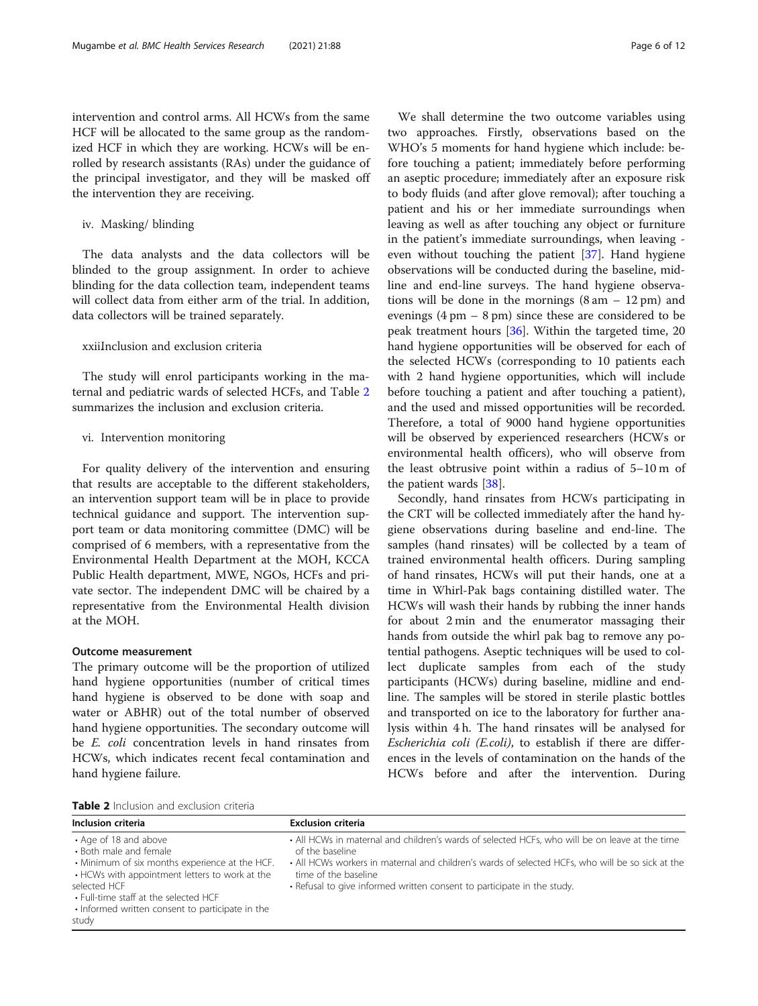intervention and control arms. All HCWs from the same HCF will be allocated to the same group as the randomized HCF in which they are working. HCWs will be enrolled by research assistants (RAs) under the guidance of the principal investigator, and they will be masked off the intervention they are receiving.

## iv. Masking/ blinding

The data analysts and the data collectors will be blinded to the group assignment. In order to achieve blinding for the data collection team, independent teams will collect data from either arm of the trial. In addition, data collectors will be trained separately.

## xxiiInclusion and exclusion criteria

The study will enrol participants working in the maternal and pediatric wards of selected HCFs, and Table 2 summarizes the inclusion and exclusion criteria.

## vi. Intervention monitoring

For quality delivery of the intervention and ensuring that results are acceptable to the different stakeholders, an intervention support team will be in place to provide technical guidance and support. The intervention support team or data monitoring committee (DMC) will be comprised of 6 members, with a representative from the Environmental Health Department at the MOH, KCCA Public Health department, MWE, NGOs, HCFs and private sector. The independent DMC will be chaired by a representative from the Environmental Health division at the MOH.

## Outcome measurement

The primary outcome will be the proportion of utilized hand hygiene opportunities (number of critical times hand hygiene is observed to be done with soap and water or ABHR) out of the total number of observed hand hygiene opportunities. The secondary outcome will be E. coli concentration levels in hand rinsates from HCWs, which indicates recent fecal contamination and hand hygiene failure.

We shall determine the two outcome variables using two approaches. Firstly, observations based on the WHO's 5 moments for hand hygiene which include: before touching a patient; immediately before performing an aseptic procedure; immediately after an exposure risk to body fluids (and after glove removal); after touching a patient and his or her immediate surroundings when leaving as well as after touching any object or furniture in the patient's immediate surroundings, when leaving even without touching the patient [[37\]](#page-11-0). Hand hygiene observations will be conducted during the baseline, midline and end-line surveys. The hand hygiene observations will be done in the mornings  $(8 \text{ am} - 12 \text{ pm})$  and evenings  $(4 \text{ pm} - 8 \text{ pm})$  since these are considered to be peak treatment hours [[36](#page-11-0)]. Within the targeted time, 20 hand hygiene opportunities will be observed for each of the selected HCWs (corresponding to 10 patients each with 2 hand hygiene opportunities, which will include before touching a patient and after touching a patient), and the used and missed opportunities will be recorded. Therefore, a total of 9000 hand hygiene opportunities will be observed by experienced researchers (HCWs or environmental health officers), who will observe from the least obtrusive point within a radius of 5–10 m of the patient wards [[38\]](#page-11-0).

Secondly, hand rinsates from HCWs participating in the CRT will be collected immediately after the hand hygiene observations during baseline and end-line. The samples (hand rinsates) will be collected by a team of trained environmental health officers. During sampling of hand rinsates, HCWs will put their hands, one at a time in Whirl-Pak bags containing distilled water. The HCWs will wash their hands by rubbing the inner hands for about 2 min and the enumerator massaging their hands from outside the whirl pak bag to remove any potential pathogens. Aseptic techniques will be used to collect duplicate samples from each of the study participants (HCWs) during baseline, midline and endline. The samples will be stored in sterile plastic bottles and transported on ice to the laboratory for further analysis within 4 h. The hand rinsates will be analysed for Escherichia coli (E.coli), to establish if there are differences in the levels of contamination on the hands of the HCWs before and after the intervention. During

| <b>Table 2</b> Inclusion and exclusion criteria |
|-------------------------------------------------|
|-------------------------------------------------|

| Inclusion criteria                                                                                                                                                                                                                                                        | <b>Exclusion criteria</b>                                                                                                                                                                                                                                                                                                |
|---------------------------------------------------------------------------------------------------------------------------------------------------------------------------------------------------------------------------------------------------------------------------|--------------------------------------------------------------------------------------------------------------------------------------------------------------------------------------------------------------------------------------------------------------------------------------------------------------------------|
| • Age of 18 and above<br>• Both male and female<br>• Minimum of six months experience at the HCF.<br>• HCWs with appointment letters to work at the<br>selected HCF<br>. Full-time staff at the selected HCF<br>. Informed written consent to participate in the<br>study | • All HCWs in maternal and children's wards of selected HCFs, who will be on leave at the time<br>of the baseline<br>• All HCWs workers in maternal and children's wards of selected HCFs, who will be so sick at the<br>time of the baseline<br>• Refusal to give informed written consent to participate in the study. |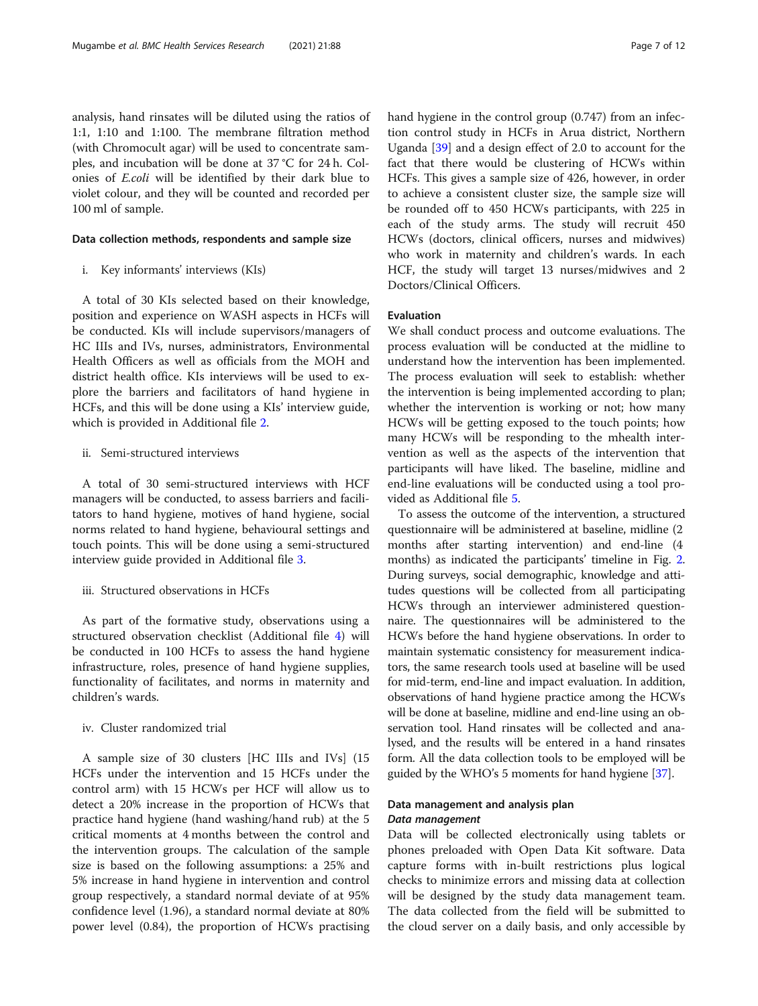analysis, hand rinsates will be diluted using the ratios of 1:1, 1:10 and 1:100. The membrane filtration method (with Chromocult agar) will be used to concentrate samples, and incubation will be done at 37 °C for 24 h. Colonies of E.coli will be identified by their dark blue to violet colour, and they will be counted and recorded per 100 ml of sample.

#### Data collection methods, respondents and sample size

i. Key informants' interviews (KIs)

A total of 30 KIs selected based on their knowledge, position and experience on WASH aspects in HCFs will be conducted. KIs will include supervisors/managers of HC IIIs and IVs, nurses, administrators, Environmental Health Officers as well as officials from the MOH and district health office. KIs interviews will be used to explore the barriers and facilitators of hand hygiene in HCFs, and this will be done using a KIs' interview guide, which is provided in Additional file [2](#page-9-0).

## ii. Semi-structured interviews

A total of 30 semi-structured interviews with HCF managers will be conducted, to assess barriers and facilitators to hand hygiene, motives of hand hygiene, social norms related to hand hygiene, behavioural settings and touch points. This will be done using a semi-structured interview guide provided in Additional file [3](#page-9-0).

## iii. Structured observations in HCFs

As part of the formative study, observations using a structured observation checklist (Additional file [4](#page-9-0)) will be conducted in 100 HCFs to assess the hand hygiene infrastructure, roles, presence of hand hygiene supplies, functionality of facilitates, and norms in maternity and children's wards.

## iv. Cluster randomized trial

A sample size of 30 clusters [HC IIIs and IVs] (15 HCFs under the intervention and 15 HCFs under the control arm) with 15 HCWs per HCF will allow us to detect a 20% increase in the proportion of HCWs that practice hand hygiene (hand washing/hand rub) at the 5 critical moments at 4 months between the control and the intervention groups. The calculation of the sample size is based on the following assumptions: a 25% and 5% increase in hand hygiene in intervention and control group respectively, a standard normal deviate of at 95% confidence level (1.96), a standard normal deviate at 80% power level (0.84), the proportion of HCWs practising hand hygiene in the control group (0.747) from an infection control study in HCFs in Arua district, Northern Uganda [\[39](#page-11-0)] and a design effect of 2.0 to account for the fact that there would be clustering of HCWs within HCFs. This gives a sample size of 426, however, in order to achieve a consistent cluster size, the sample size will be rounded off to 450 HCWs participants, with 225 in each of the study arms. The study will recruit 450 HCWs (doctors, clinical officers, nurses and midwives) who work in maternity and children's wards. In each HCF, the study will target 13 nurses/midwives and 2 Doctors/Clinical Officers.

## Evaluation

We shall conduct process and outcome evaluations. The process evaluation will be conducted at the midline to understand how the intervention has been implemented. The process evaluation will seek to establish: whether the intervention is being implemented according to plan; whether the intervention is working or not; how many HCWs will be getting exposed to the touch points; how many HCWs will be responding to the mhealth intervention as well as the aspects of the intervention that participants will have liked. The baseline, midline and end-line evaluations will be conducted using a tool provided as Additional file [5.](#page-9-0)

To assess the outcome of the intervention, a structured questionnaire will be administered at baseline, midline (2 months after starting intervention) and end-line (4 months) as indicated the participants' timeline in Fig. [2](#page-7-0). During surveys, social demographic, knowledge and attitudes questions will be collected from all participating HCWs through an interviewer administered questionnaire. The questionnaires will be administered to the HCWs before the hand hygiene observations. In order to maintain systematic consistency for measurement indicators, the same research tools used at baseline will be used for mid-term, end-line and impact evaluation. In addition, observations of hand hygiene practice among the HCWs will be done at baseline, midline and end-line using an observation tool. Hand rinsates will be collected and analysed, and the results will be entered in a hand rinsates form. All the data collection tools to be employed will be guided by the WHO's 5 moments for hand hygiene [\[37\]](#page-11-0).

## Data management and analysis plan Data management

## Data will be collected electronically using tablets or phones preloaded with Open Data Kit software. Data capture forms with in-built restrictions plus logical

checks to minimize errors and missing data at collection will be designed by the study data management team. The data collected from the field will be submitted to the cloud server on a daily basis, and only accessible by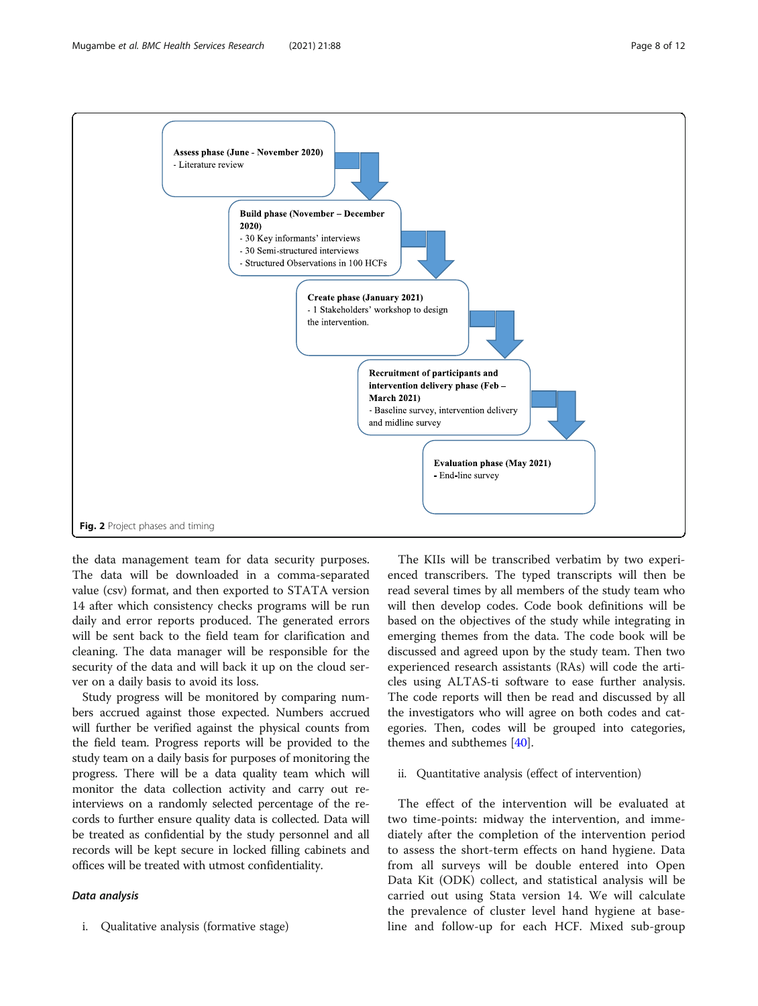<span id="page-7-0"></span>

the data management team for data security purposes. The data will be downloaded in a comma-separated value (csv) format, and then exported to STATA version 14 after which consistency checks programs will be run daily and error reports produced. The generated errors will be sent back to the field team for clarification and cleaning. The data manager will be responsible for the security of the data and will back it up on the cloud server on a daily basis to avoid its loss.

Study progress will be monitored by comparing numbers accrued against those expected. Numbers accrued will further be verified against the physical counts from the field team. Progress reports will be provided to the study team on a daily basis for purposes of monitoring the progress. There will be a data quality team which will monitor the data collection activity and carry out reinterviews on a randomly selected percentage of the records to further ensure quality data is collected. Data will be treated as confidential by the study personnel and all records will be kept secure in locked filling cabinets and offices will be treated with utmost confidentiality.

#### Data analysis

i. Qualitative analysis (formative stage)

The KIIs will be transcribed verbatim by two experienced transcribers. The typed transcripts will then be read several times by all members of the study team who will then develop codes. Code book definitions will be based on the objectives of the study while integrating in emerging themes from the data. The code book will be discussed and agreed upon by the study team. Then two experienced research assistants (RAs) will code the articles using ALTAS-ti software to ease further analysis. The code reports will then be read and discussed by all the investigators who will agree on both codes and categories. Then, codes will be grouped into categories, themes and subthemes [\[40](#page-11-0)].

#### ii. Quantitative analysis (effect of intervention)

The effect of the intervention will be evaluated at two time-points: midway the intervention, and immediately after the completion of the intervention period to assess the short-term effects on hand hygiene. Data from all surveys will be double entered into Open Data Kit (ODK) collect, and statistical analysis will be carried out using Stata version 14. We will calculate the prevalence of cluster level hand hygiene at baseline and follow-up for each HCF. Mixed sub-group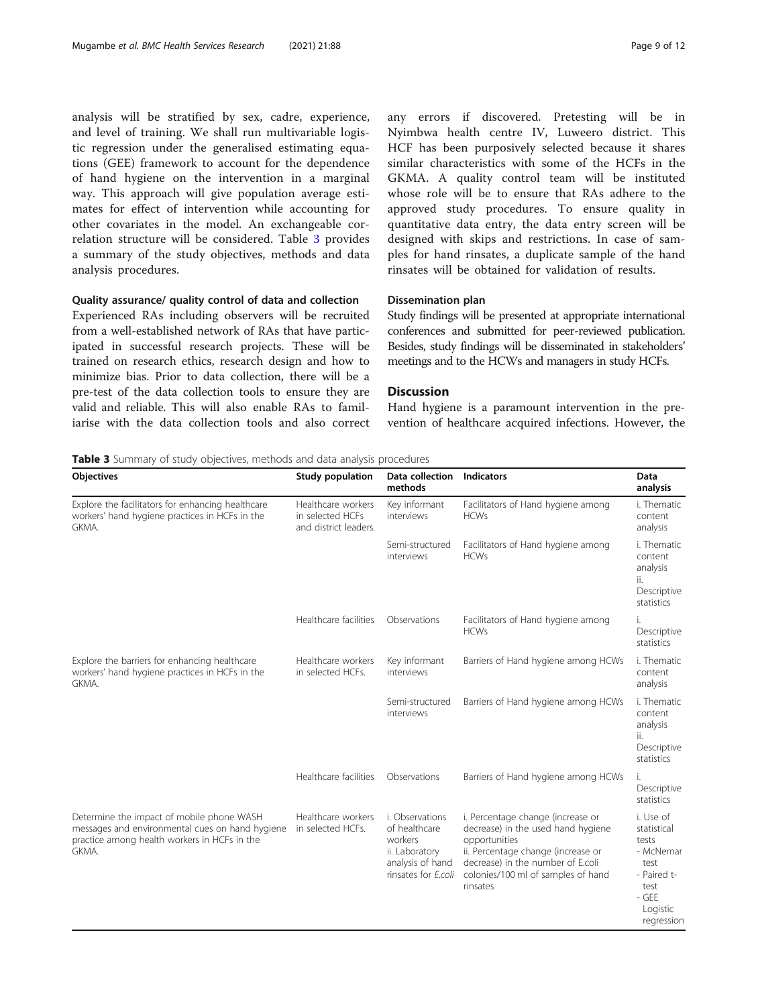analysis will be stratified by sex, cadre, experience, and level of training. We shall run multivariable logistic regression under the generalised estimating equations (GEE) framework to account for the dependence of hand hygiene on the intervention in a marginal way. This approach will give population average estimates for effect of intervention while accounting for other covariates in the model. An exchangeable correlation structure will be considered. Table 3 provides a summary of the study objectives, methods and data analysis procedures.

## Quality assurance/ quality control of data and collection

Experienced RAs including observers will be recruited from a well-established network of RAs that have participated in successful research projects. These will be trained on research ethics, research design and how to minimize bias. Prior to data collection, there will be a pre-test of the data collection tools to ensure they are valid and reliable. This will also enable RAs to familiarise with the data collection tools and also correct any errors if discovered. Pretesting will be in Nyimbwa health centre IV, Luweero district. This HCF has been purposively selected because it shares similar characteristics with some of the HCFs in the GKMA. A quality control team will be instituted whose role will be to ensure that RAs adhere to the approved study procedures. To ensure quality in quantitative data entry, the data entry screen will be designed with skips and restrictions. In case of samples for hand rinsates, a duplicate sample of the hand rinsates will be obtained for validation of results.

### Dissemination plan

Study findings will be presented at appropriate international conferences and submitted for peer-reviewed publication. Besides, study findings will be disseminated in stakeholders' meetings and to the HCWs and managers in study HCFs.

#### **Discussion**

Hand hygiene is a paramount intervention in the prevention of healthcare acquired infections. However, the

Table 3 Summary of study objectives, methods and data analysis procedures

| Objectives                                                                                                                                            | Study population                                                | Data collection<br>methods                                                                               | <b>Indicators</b>                                                                                                                                                                                                     | Data<br>analysis                                                                                                 |
|-------------------------------------------------------------------------------------------------------------------------------------------------------|-----------------------------------------------------------------|----------------------------------------------------------------------------------------------------------|-----------------------------------------------------------------------------------------------------------------------------------------------------------------------------------------------------------------------|------------------------------------------------------------------------------------------------------------------|
| Explore the facilitators for enhancing healthcare<br>workers' hand hygiene practices in HCFs in the<br>GKMA.                                          | Healthcare workers<br>in selected HCFs<br>and district leaders. | Key informant<br>interviews                                                                              | Facilitators of Hand hygiene among<br><b>HCWs</b>                                                                                                                                                                     | i. Thematic<br>content<br>analysis                                                                               |
|                                                                                                                                                       |                                                                 | Semi-structured<br>interviews                                                                            | Facilitators of Hand hygiene among<br><b>HCWs</b>                                                                                                                                                                     | i. Thematic<br>content<br>analysis<br>ii.<br>Descriptive<br>statistics                                           |
|                                                                                                                                                       | Healthcare facilities                                           | Observations                                                                                             | Facilitators of Hand hygiene among<br><b>HCWs</b>                                                                                                                                                                     | i.<br>Descriptive<br>statistics                                                                                  |
| Explore the barriers for enhancing healthcare<br>workers' hand hygiene practices in HCFs in the<br>GKMA.                                              | Healthcare workers<br>in selected HCFs.                         | Key informant<br>interviews                                                                              | Barriers of Hand hygiene among HCWs                                                                                                                                                                                   | i. Thematic<br>content<br>analysis                                                                               |
|                                                                                                                                                       |                                                                 | Semi-structured<br>interviews                                                                            | Barriers of Hand hygiene among HCWs                                                                                                                                                                                   | i. Thematic<br>content<br>analysis<br>ii.<br>Descriptive<br>statistics                                           |
|                                                                                                                                                       | Healthcare facilities                                           | Observations                                                                                             | Barriers of Hand hygiene among HCWs                                                                                                                                                                                   | i.<br>Descriptive<br>statistics                                                                                  |
| Determine the impact of mobile phone WASH<br>messages and environmental cues on hand hygiene<br>practice among health workers in HCFs in the<br>GKMA. | Healthcare workers<br>in selected HCFs.                         | i. Observations<br>of healthcare<br>workers<br>ii. Laboratory<br>analysis of hand<br>rinsates for E.coli | i. Percentage change (increase or<br>decrease) in the used hand hygiene<br>opportunities<br>ii. Percentage change (increase or<br>decrease) in the number of E.coli<br>colonies/100 ml of samples of hand<br>rinsates | i. Use of<br>statistical<br>tests<br>- McNemar<br>test<br>- Paired t-<br>test<br>- GEE<br>Logistic<br>regression |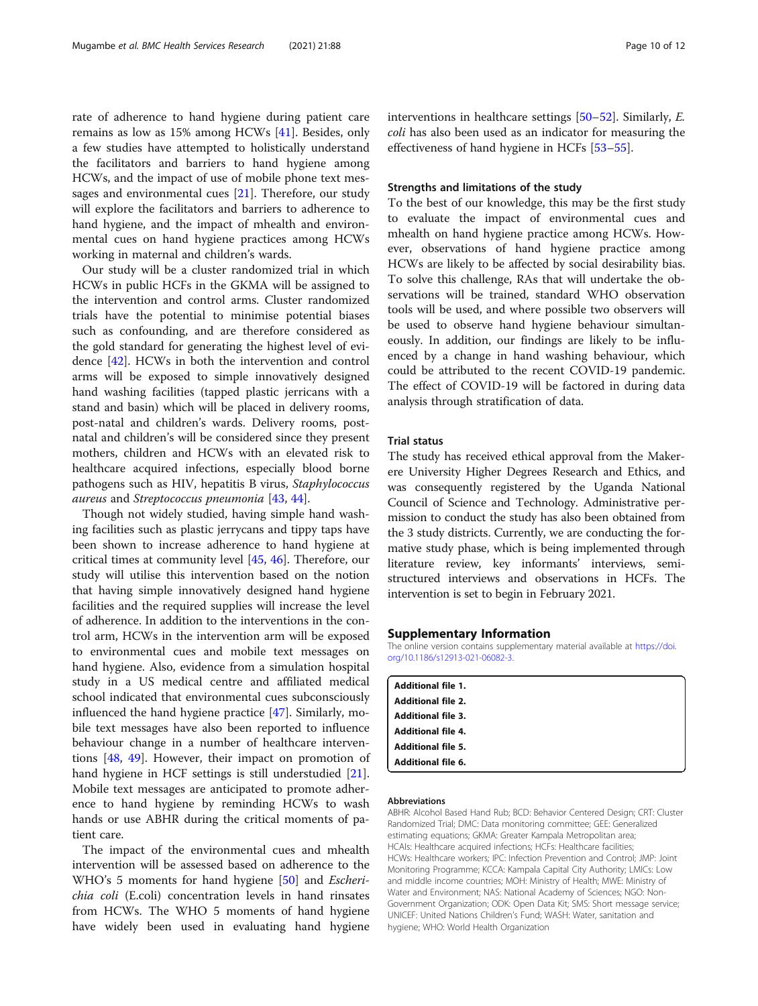<span id="page-9-0"></span>rate of adherence to hand hygiene during patient care remains as low as 15% among HCWs [\[41\]](#page-11-0). Besides, only a few studies have attempted to holistically understand the facilitators and barriers to hand hygiene among HCWs, and the impact of use of mobile phone text messages and environmental cues [[21](#page-10-0)]. Therefore, our study will explore the facilitators and barriers to adherence to hand hygiene, and the impact of mhealth and environmental cues on hand hygiene practices among HCWs working in maternal and children's wards.

Our study will be a cluster randomized trial in which HCWs in public HCFs in the GKMA will be assigned to the intervention and control arms. Cluster randomized trials have the potential to minimise potential biases such as confounding, and are therefore considered as the gold standard for generating the highest level of evidence [\[42](#page-11-0)]. HCWs in both the intervention and control arms will be exposed to simple innovatively designed hand washing facilities (tapped plastic jerricans with a stand and basin) which will be placed in delivery rooms, post-natal and children's wards. Delivery rooms, postnatal and children's will be considered since they present mothers, children and HCWs with an elevated risk to healthcare acquired infections, especially blood borne pathogens such as HIV, hepatitis B virus, Staphylococcus aureus and Streptococcus pneumonia [[43,](#page-11-0) [44\]](#page-11-0).

Though not widely studied, having simple hand washing facilities such as plastic jerrycans and tippy taps have been shown to increase adherence to hand hygiene at critical times at community level [[45](#page-11-0), [46](#page-11-0)]. Therefore, our study will utilise this intervention based on the notion that having simple innovatively designed hand hygiene facilities and the required supplies will increase the level of adherence. In addition to the interventions in the control arm, HCWs in the intervention arm will be exposed to environmental cues and mobile text messages on hand hygiene. Also, evidence from a simulation hospital study in a US medical centre and affiliated medical school indicated that environmental cues subconsciously influenced the hand hygiene practice [\[47](#page-11-0)]. Similarly, mobile text messages have also been reported to influence behaviour change in a number of healthcare interventions [\[48](#page-11-0), [49\]](#page-11-0). However, their impact on promotion of hand hygiene in HCF settings is still understudied [\[21](#page-10-0)]. Mobile text messages are anticipated to promote adherence to hand hygiene by reminding HCWs to wash hands or use ABHR during the critical moments of patient care.

The impact of the environmental cues and mhealth intervention will be assessed based on adherence to the WHO's 5 moments for hand hygiene [\[50\]](#page-11-0) and *Escheri*chia coli (E.coli) concentration levels in hand rinsates from HCWs. The WHO 5 moments of hand hygiene have widely been used in evaluating hand hygiene interventions in healthcare settings [\[50](#page-11-0)–[52](#page-11-0)]. Similarly, E. coli has also been used as an indicator for measuring the effectiveness of hand hygiene in HCFs [\[53](#page-11-0)–[55\]](#page-11-0).

### Strengths and limitations of the study

To the best of our knowledge, this may be the first study to evaluate the impact of environmental cues and mhealth on hand hygiene practice among HCWs. However, observations of hand hygiene practice among HCWs are likely to be affected by social desirability bias. To solve this challenge, RAs that will undertake the observations will be trained, standard WHO observation tools will be used, and where possible two observers will be used to observe hand hygiene behaviour simultaneously. In addition, our findings are likely to be influenced by a change in hand washing behaviour, which could be attributed to the recent COVID-19 pandemic. The effect of COVID-19 will be factored in during data analysis through stratification of data.

#### Trial status

The study has received ethical approval from the Makerere University Higher Degrees Research and Ethics, and was consequently registered by the Uganda National Council of Science and Technology. Administrative permission to conduct the study has also been obtained from the 3 study districts. Currently, we are conducting the formative study phase, which is being implemented through literature review, key informants' interviews, semistructured interviews and observations in HCFs. The intervention is set to begin in February 2021.

#### Supplementary Information

The online version contains supplementary material available at [https://doi.](https://doi.org/10.1186/s12913-021-06082-3) [org/10.1186/s12913-021-06082-3.](https://doi.org/10.1186/s12913-021-06082-3)

| <b>Additional file 1.</b> |  |
|---------------------------|--|
| <b>Additional file 2.</b> |  |
| <b>Additional file 3.</b> |  |
| <b>Additional file 4.</b> |  |
| <b>Additional file 5.</b> |  |
| <b>Additional file 6.</b> |  |
|                           |  |

## Abbreviations

ABHR: Alcohol Based Hand Rub; BCD: Behavior Centered Design; CRT: Cluster Randomized Trial; DMC: Data monitoring committee; GEE: Generalized estimating equations; GKMA: Greater Kampala Metropolitan area; HCAIs: Healthcare acquired infections; HCFs: Healthcare facilities; HCWs: Healthcare workers; IPC: Infection Prevention and Control; JMP: Joint Monitoring Programme; KCCA: Kampala Capital City Authority; LMICs: Low and middle income countries; MOH: Ministry of Health; MWE: Ministry of Water and Environment; NAS: National Academy of Sciences; NGO: Non-Government Organization; ODK: Open Data Kit; SMS: Short message service; UNICEF: United Nations Children's Fund; WASH: Water, sanitation and hygiene; WHO: World Health Organization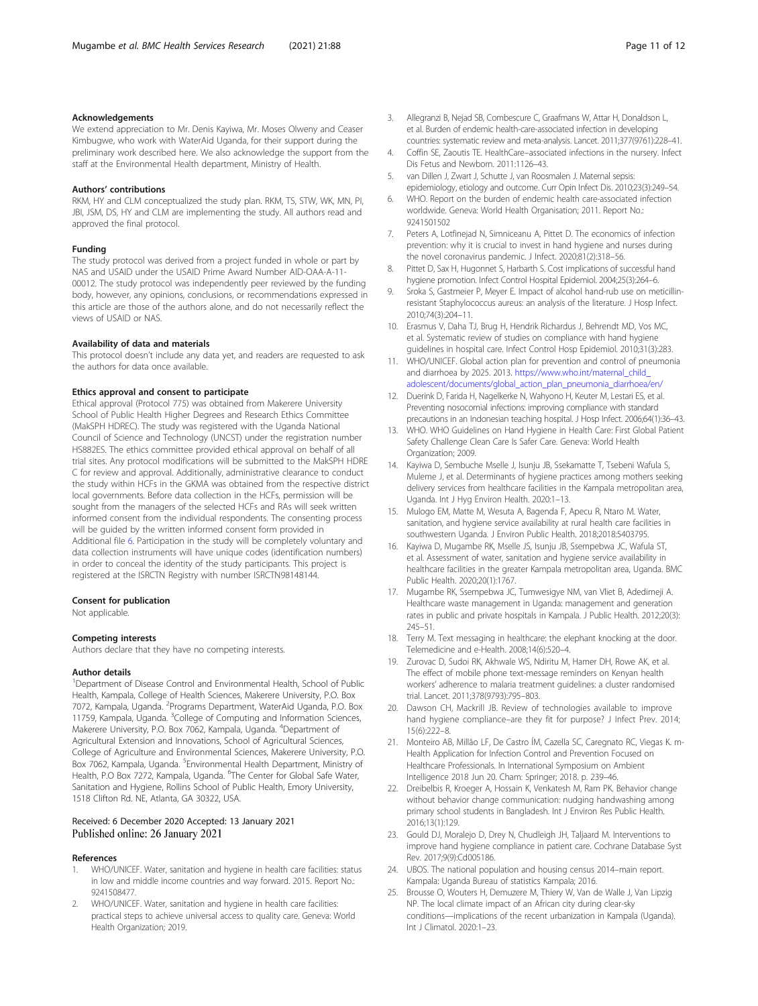#### <span id="page-10-0"></span>Acknowledgements

We extend appreciation to Mr. Denis Kayiwa, Mr. Moses Olweny and Ceaser Kimbugwe, who work with WaterAid Uganda, for their support during the preliminary work described here. We also acknowledge the support from the staff at the Environmental Health department, Ministry of Health.

#### Authors' contributions

RKM, HY and CLM conceptualized the study plan. RKM, TS, STW, WK, MN, PI, JBI, JSM, DS, HY and CLM are implementing the study. All authors read and approved the final protocol.

#### Funding

The study protocol was derived from a project funded in whole or part by NAS and USAID under the USAID Prime Award Number AID-OAA-A-11- 00012. The study protocol was independently peer reviewed by the funding body, however, any opinions, conclusions, or recommendations expressed in this article are those of the authors alone, and do not necessarily reflect the views of USAID or NAS.

## Availability of data and materials

This protocol doesn't include any data yet, and readers are requested to ask the authors for data once available.

#### Ethics approval and consent to participate

Ethical approval (Protocol 775) was obtained from Makerere University School of Public Health Higher Degrees and Research Ethics Committee (MakSPH HDREC). The study was registered with the Uganda National Council of Science and Technology (UNCST) under the registration number HS882ES. The ethics committee provided ethical approval on behalf of all trial sites. Any protocol modifications will be submitted to the MakSPH HDRE C for review and approval. Additionally, administrative clearance to conduct the study within HCFs in the GKMA was obtained from the respective district local governments. Before data collection in the HCFs, permission will be sought from the managers of the selected HCFs and RAs will seek written informed consent from the individual respondents. The consenting process will be guided by the written informed consent form provided in Additional file [6](#page-9-0). Participation in the study will be completely voluntary and data collection instruments will have unique codes (identification numbers) in order to conceal the identity of the study participants. This project is registered at the ISRCTN Registry with number ISRCTN98148144.

#### Consent for publication

Not applicable.

#### Competing interests

Authors declare that they have no competing interests.

#### Author details

<sup>1</sup>Department of Disease Control and Environmental Health, School of Public Health, Kampala, College of Health Sciences, Makerere University, P.O. Box 7072, Kampala, Uganda. <sup>2</sup>Programs Department, WaterAid Uganda, P.O. Box 11759, Kampala, Uganda. <sup>3</sup>College of Computing and Information Sciences, Makerere University, P.O. Box 7062, Kampala, Uganda. <sup>4</sup> Department of Agricultural Extension and Innovations, School of Agricultural Sciences, College of Agriculture and Environmental Sciences, Makerere University, P.O. Box 7062, Kampala, Uganda. <sup>5</sup>Environmental Health Department, Ministry of Health, P.O Box 7272, Kampala, Uganda. <sup>6</sup>The Center for Global Safe Water, Sanitation and Hygiene, Rollins School of Public Health, Emory University, 1518 Clifton Rd. NE, Atlanta, GA 30322, USA.

#### Received: 6 December 2020 Accepted: 13 January 2021 Published online: 26 January 2021

#### References

- 1. WHO/UNICEF. Water, sanitation and hygiene in health care facilities: status in low and middle income countries and way forward. 2015. Report No.: 9241508477.
- 2. WHO/UNICEF. Water, sanitation and hygiene in health care facilities: practical steps to achieve universal access to quality care. Geneva: World Health Organization; 2019.
- 3. Allegranzi B, Nejad SB, Combescure C, Graafmans W, Attar H, Donaldson L, et al. Burden of endemic health-care-associated infection in developing countries: systematic review and meta-analysis. Lancet. 2011;377(9761):228–41.
- 4. Coffin SE, Zaoutis TE. HealthCare–associated infections in the nursery. Infect Dis Fetus and Newborn. 2011:1126–43.
- 5. van Dillen J, Zwart J, Schutte J, van Roosmalen J. Maternal sepsis: epidemiology, etiology and outcome. Curr Opin Infect Dis. 2010;23(3):249–54.
- 6. WHO. Report on the burden of endemic health care-associated infection worldwide. Geneva: World Health Organisation; 2011. Report No.: 9241501502
- Peters A, Lotfinejad N, Simniceanu A, Pittet D. The economics of infection prevention: why it is crucial to invest in hand hygiene and nurses during the novel coronavirus pandemic. J Infect. 2020;81(2):318–56.
- 8. Pittet D, Sax H, Hugonnet S, Harbarth S. Cost implications of successful hand hygiene promotion. Infect Control Hospital Epidemiol. 2004;25(3):264–6.
- 9. Sroka S, Gastmeier P, Meyer E. Impact of alcohol hand-rub use on meticillinresistant Staphylococcus aureus: an analysis of the literature. J Hosp Infect. 2010;74(3):204–11.
- 10. Erasmus V, Daha TJ, Brug H, Hendrik Richardus J, Behrendt MD, Vos MC, et al. Systematic review of studies on compliance with hand hygiene guidelines in hospital care. Infect Control Hosp Epidemiol. 2010;31(3):283.
- 11. WHO/UNICEF. Global action plan for prevention and control of pneumonia and diarrhoea by 2025. 2013. [https://www.who.int/maternal\\_child\\_](https://www.who.int/maternal_child_adolescent/documents/global_action_plan_pneumonia_diarrhoea/en/) [adolescent/documents/global\\_action\\_plan\\_pneumonia\\_diarrhoea/en/](https://www.who.int/maternal_child_adolescent/documents/global_action_plan_pneumonia_diarrhoea/en/)
- 12. Duerink D, Farida H, Nagelkerke N, Wahyono H, Keuter M, Lestari ES, et al. Preventing nosocomial infections: improving compliance with standard precautions in an Indonesian teaching hospital. J Hosp Infect. 2006;64(1):36–43.
- 13. WHO. WHO Guidelines on Hand Hygiene in Health Care: First Global Patient Safety Challenge Clean Care Is Safer Care. Geneva: World Health Organization; 2009.
- 14. Kayiwa D, Sembuche Mselle J, Isunju JB, Ssekamatte T, Tsebeni Wafula S, Muleme J, et al. Determinants of hygiene practices among mothers seeking delivery services from healthcare facilities in the Kampala metropolitan area, Uganda. Int J Hyg Environ Health. 2020:1–13.
- 15. Mulogo EM, Matte M, Wesuta A, Bagenda F, Apecu R, Ntaro M. Water, sanitation, and hygiene service availability at rural health care facilities in southwestern Uganda. J Environ Public Health. 2018;2018:5403795.
- 16. Kayiwa D, Mugambe RK, Mselle JS, Isunju JB, Ssempebwa JC, Wafula ST, et al. Assessment of water, sanitation and hygiene service availability in healthcare facilities in the greater Kampala metropolitan area, Uganda. BMC Public Health. 2020;20(1):1767.
- 17. Mugambe RK, Ssempebwa JC, Tumwesigye NM, van Vliet B, Adedimeji A. Healthcare waste management in Uganda: management and generation rates in public and private hospitals in Kampala. J Public Health. 2012;20(3): 245–51.
- 18. Terry M. Text messaging in healthcare: the elephant knocking at the door. Telemedicine and e-Health. 2008;14(6):520–4.
- 19. Zurovac D, Sudoi RK, Akhwale WS, Ndiritu M, Hamer DH, Rowe AK, et al. The effect of mobile phone text-message reminders on Kenyan health workers' adherence to malaria treatment guidelines: a cluster randomised trial. Lancet. 2011;378(9793):795–803.
- 20. Dawson CH, Mackrill JB. Review of technologies available to improve hand hygiene compliance–are they fit for purpose? J Infect Prev. 2014; 15(6):222–8.
- 21. Monteiro AB, Millão LF, De Castro ÍM, Cazella SC, Caregnato RC, Viegas K. m-Health Application for Infection Control and Prevention Focused on Healthcare Professionals. In International Symposium on Ambient Intelligence 2018 Jun 20. Cham: Springer; 2018. p. 239–46.
- 22. Dreibelbis R, Kroeger A, Hossain K, Venkatesh M, Ram PK. Behavior change without behavior change communication: nudging handwashing among primary school students in Bangladesh. Int J Environ Res Public Health. 2016;13(1):129.
- 23. Gould DJ, Moralejo D, Drey N, Chudleigh JH, Taljaard M. Interventions to improve hand hygiene compliance in patient care. Cochrane Database Syst Rev. 2017;9(9):Cd005186.
- 24. UBOS. The national population and housing census 2014–main report. Kampala: Uganda Bureau of statistics Kampala; 2016.
- 25. Brousse O, Wouters H, Demuzere M, Thiery W, Van de Walle J, Van Lipzig NP. The local climate impact of an African city during clear-sky conditions—implications of the recent urbanization in Kampala (Uganda). Int J Climatol. 2020:1–23.